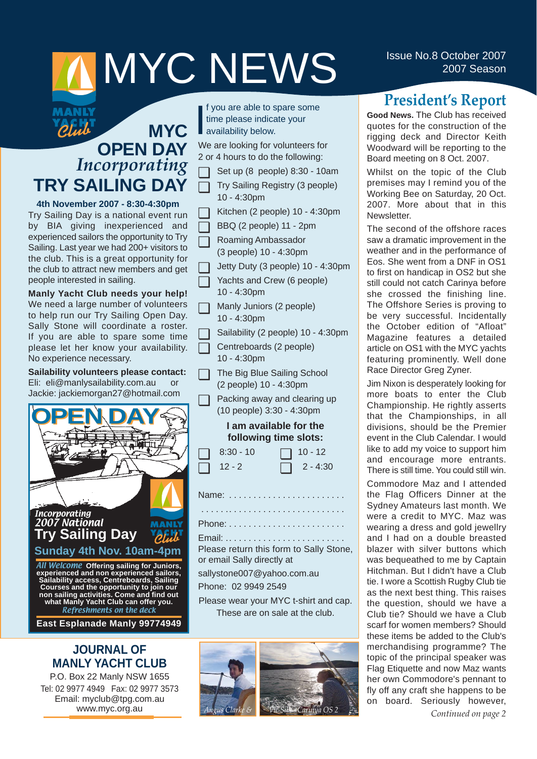# **ISSUE NO.8 October 2007**<br>2007 Season

#### Blut **MYC OPEN DAY** *Incorporating* **TRY SAILING DAY**

MANLY

**4th November 2007 - 8:30-4:30pm** Try Sailing Day is a national event run by BIA giving inexperienced and experienced sailors the opportunity to Try Sailing. Last year we had 200+ visitors to the club. This is a great opportunity for the club to attract new members and get people interested in sailing.

**Manly Yacht Club needs your help!** We need a large number of volunteers to help run our Try Sailing Open Day. Sally Stone will coordinate a roster. If you are able to spare some time please let her know your availability. No experience necessary.

**Sailability volunteers please contact:** Eli: eli@manlysailability.com.au or Jackie: jackiemorgan27@hotmail.com



**East Esplanade Manly 99774949**

#### **JOURNAL OF MANLY YACHT CLUB**

P.O. Box 22 Manly NSW 1655 Tel: 02 9977 4949 Fax: 02 9977 3573 Email: myclub@tpg.com.au www.myc.org.au

I f you are able to sprint<br>time please indical<br>availability below. f you are able to spare some time please indicate your

We are looking for volunteers for 2 or 4 hours to do the following:

- ❏ Set up (8 people) 8:30 10am
- ❏ Try Sailing Registry (3 people) 10 - 4:30pm
- ❏ Kitchen (2 people) 10 4:30pm
- ❏ BBQ (2 people) 11 2pm
- ❏ Roaming Ambassador (3 people) 10 - 4:30pm
- ❏ Jetty Duty (3 people) 10 4:30pm
	- Yachts and Crew (6 people) 10 - 4:30pm
- ❏ Manly Juniors (2 people) 10 - 4:30pm

Sailability (2 people) 10 - 4:30pm

❏ Centreboards (2 people) 10 - 4:30pm

- ❏ The Big Blue Sailing School (2 people) 10 - 4:30pm
- ❏ Packing away and clearing up (10 people) 3:30 - 4:30pm

#### **I am available for the following time slots:**

| $\Box$ 8:30 - 10 | $\Box$ 10 - 12  |
|------------------|-----------------|
| $\Box$ 12 - 2    | $\Box$ 2 - 4:30 |

Name: . . . . . . . . . . . . . . . . . . . . . . . .

. . . . . .. . . . . . . . . . . . . . . . . . . . . . . .

Phone: . . . . . . . . . . . . . . . . . . . . . . . .

Email: .. . . . . . . . . . . . . . . . . . . . . . . . Please return this form to Sally Stone, or email Sally directly at

sallystone007@yahoo.com.au

Phone: 02 9949 2549

Please wear your MYC t-shirt and cap. These are on sale at the club.



## **President's Report**

**Good News.** The Club has received quotes for the construction of the rigging deck and Director Keith Woodward will be reporting to the Board meeting on 8 Oct. 2007.

Whilst on the topic of the Club premises may I remind you of the Working Bee on Saturday, 20 Oct. 2007. More about that in this **Newsletter** 

The second of the offshore races saw a dramatic improvement in the weather and in the performance of Eos. She went from a DNF in OS1 to first on handicap in OS2 but she still could not catch Carinya before she crossed the finishing line. The Offshore Series is proving to be very successful. Incidentally the October edition of "Afloat" Magazine features a detailed article on OS1 with the MYC yachts featuring prominently. Well done Race Director Greg Zyner.

Jim Nixon is desperately looking for more boats to enter the Club Championship. He rightly asserts that the Championships, in all divisions, should be the Premier event in the Club Calendar. I would like to add my voice to support him and encourage more entrants. There is still time. You could still win.

Commodore Maz and I attended the Flag Officers Dinner at the Sydney Amateurs last month. We were a credit to MYC. Maz was wearing a dress and gold jewellry and I had on a double breasted blazer with silver buttons which was bequeathed to me by Captain Hitchman. But I didn't have a Club tie. I wore a Scottish Rugby Club tie as the next best thing. This raises the question, should we have a Club tie? Should we have a Club scarf for women members? Should these items be added to the Club's merchandising programme? The topic of the principal speaker was Flag Etiquette and now Maz wants her own Commodore's pennant to fly off any craft she happens to be on board. Seriously however, *Continued on page 2*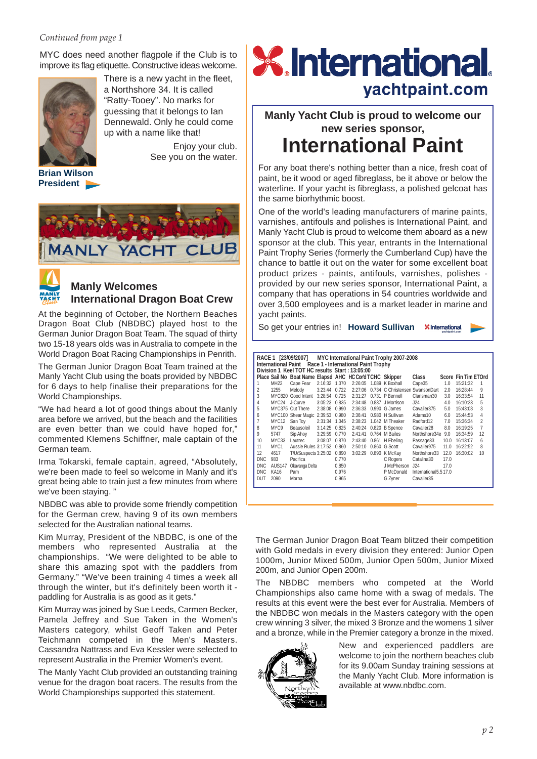#### *Continued from page 1*

MYC does need another flagpole if the Club is to improve its flag etiquette. Constructive ideas welcome.



**President**

There is a new yacht in the fleet, a Northshore 34. It is called "Ratty-Tooey". No marks for guessing that it belongs to Ian Dennewald. Only he could come up with a name like that!

> Enjoy your club. See you on the water.





#### **Manly Welcomes International Dragon Boat Crew**

At the beginning of October, the Northern Beaches Dragon Boat Club (NBDBC) played host to the German Junior Dragon Boat Team. The squad of thirty two 15-18 years olds was in Australia to compete in the World Dragon Boat Racing Championships in Penrith.

The German Junior Dragon Boat Team trained at the Manly Yacht Club using the boats provided by NBDBC for 6 days to help finalise their preparations for the World Championships.

"We had heard a lot of good things about the Manly area before we arrived, but the beach and the facilities are even better than we could have hoped for," commented Klemens Schiffner, male captain of the German team.

Irma Tokarski, female captain, agreed, "Absolutely, we're been made to feel so welcome in Manly and it's great being able to train just a few minutes from where we've been staying. "

NBDBC was able to provide some friendly competition for the German crew, having 9 of its own members selected for the Australian national teams.

Kim Murray, President of the NBDBC, is one of the members who represented Australia at the championships. "We were delighted to be able to share this amazing spot with the paddlers from Germany." "We've been training 4 times a week all through the winter, but it's definitely been worth it paddling for Australia is as good as it gets."

Kim Murray was joined by Sue Leeds, Carmen Becker, Pamela Jeffrey and Sue Taken in the Women's Masters category, whilst Geoff Taken and Peter Teichmann competed in the Men's Masters. Cassandra Nattrass and Eva Kessler were selected to represent Australia in the Premier Women's event.

The Manly Yacht Club provided an outstanding training venue for the dragon boat racers. The results from the World Championships supported this statement.

## **X** International yachtpaint.com

**Manly Yacht Club is proud to welcome our new series sponsor, International Paint**

For any boat there's nothing better than a nice, fresh coat of paint, be it wood or aged fibreglass, be it above or below the waterline. If your yacht is fibreglass, a polished gelcoat has the same biorhythmic boost.

One of the world's leading manufacturers of marine paints, varnishes, antifouls and polishes is International Paint, and Manly Yacht Club is proud to welcome them aboard as a new sponsor at the club. This year, entrants in the International Paint Trophy Series (formerly the Cumberland Cup) have the chance to battle it out on the water for some excellent boat product prizes - paints, antifouls, varnishes, polishes provided by our new series sponsor, International Paint, a company that has operations in 54 countries worldwide and over 3,500 employees and is a market leader in marine and yacht paints.

So get your entries in! **Howard Sullivan**

|                |                   | International Paint Race 1 - International Paint Trophy<br>Division 1 Keel TOT HC results Start: 13:05:00 |               |       |         | RACE 1 [23/09/2007] MYC International Paint Trophy 2007-2008 |                      |      |                     |                |
|----------------|-------------------|-----------------------------------------------------------------------------------------------------------|---------------|-------|---------|--------------------------------------------------------------|----------------------|------|---------------------|----------------|
|                |                   | Place Sail No Boat Name Elapsd AHC HC Cor'd TCHC Skipper                                                  |               |       |         |                                                              | Class                |      | Score Fin Tim ETOrd |                |
| 1              | <b>MH22</b>       | Cape Fear                                                                                                 | 2:16:32 1.070 |       |         | 2:26:05 1.089 K Boxhall                                      | Cape35               | 1.0  | 15:21:32            |                |
| 2              | 1255              | Melody                                                                                                    | 3:23:44 0.722 |       | 2:27:06 | 0.734 C Christensen SwansonDart                              |                      | 2.0  | 16:28:44            | 9              |
| 3              |                   | MYC820 Good Intent                                                                                        | 3:28:54 0.725 |       | 2:31:27 | 0.731 P Bennell                                              | Clansman30           | 3.0  | 16:33:54            | 11             |
| 4              | MYC24             | J-Curve                                                                                                   | 3:05:23 0.835 |       | 2:34:48 | 0.837 J Morrison                                             | J24                  | 4.0  | 16:10:23            | 5              |
| 5              |                   | MYC375 Out There                                                                                          | 2:38:08 0.990 |       | 2:36:33 | $0.990\,$ G James                                            | Cavalier375          | 5.0  | 15:43:08            | 3              |
| 6              |                   | MYC100 Shear Magic 2:39:53 0.980                                                                          |               |       | 2:36:41 | 0.980 H Sullivan                                             | Adams10              | 6.0  | 15:44:53            | 4              |
| $\overline{7}$ | MYC <sub>12</sub> | San Toy                                                                                                   | 2:31:34       | 1.045 | 2:38:23 | 1.042 M Theaker                                              | Radford12            | 7.0  | 15:36:34            | $\overline{2}$ |
| 8              | MYC9              | Beausoleil                                                                                                | 3:14:25 0.825 |       | 2:40:24 | 0.820 B Spence                                               | Cavalier28           | 8.0  | 16:19:25            | $\overline{7}$ |
| 9              | 5747              | Sip Ahoy                                                                                                  | 3:29:59 0.770 |       | 2:41:41 | 0.764 M Bailes                                               | Northshore34e        | 9.0  | 16:34:59            | 12             |
| 10             | MYC33             | Lautrec                                                                                                   | 3:08:07 0.870 |       | 2:43:40 | 0.861 H Ebeling                                              | Passage33            | 10.0 | 16:13:07            | 6              |
| 11             | MYC <sub>1</sub>  | Aussie Rules 3:17:52 0.860                                                                                |               |       | 2:50:10 | $0.860$ G Scott                                              | Cavalier975          | 11.0 | 16:22:52            | 8              |
| 12             | 4617              | T/U/Suspects 3:25:02 0.890                                                                                |               |       |         | 3:02:29 0.890 K McKav                                        | Northshore33         | 12.0 | 16:30:02            | 10             |
| <b>DNC</b>     | 983               | Pacifica                                                                                                  |               | 0.770 |         | C Rogers                                                     | Catalina30           | 17.0 |                     |                |
| <b>DNC</b>     | <b>AUS147</b>     | Okavanga Delta                                                                                            |               | 0.850 |         | J McPherson                                                  | J24                  | 17.0 |                     |                |
| <b>DNC</b>     | <b>KA16</b>       | Pam                                                                                                       |               | 0.976 |         | P McDonald                                                   | International5.517.0 |      |                     |                |
| DUT            | 2090              | Morna                                                                                                     |               | 0.965 |         | G Zyner                                                      | Cavalier35           |      |                     |                |
|                |                   |                                                                                                           |               |       |         |                                                              |                      |      |                     |                |

The German Junior Dragon Boat Team blitzed their competition with Gold medals in every division they entered: Junior Open 1000m, Junior Mixed 500m, Junior Open 500m, Junior Mixed 200m, and Junior Open 200m.

The NBDBC members who competed at the World Championships also came home with a swag of medals. The results at this event were the best ever for Australia. Members of the NBDBC won medals in the Masters category with the open crew winning 3 silver, the mixed 3 Bronze and the womens 1 silver and a bronze, while in the Premier category a bronze in the mixed.



New and experienced paddlers are welcome to join the northern beaches club for its 9.00am Sunday training sessions at the Manly Yacht Club. More information is available at www.nbdbc.com.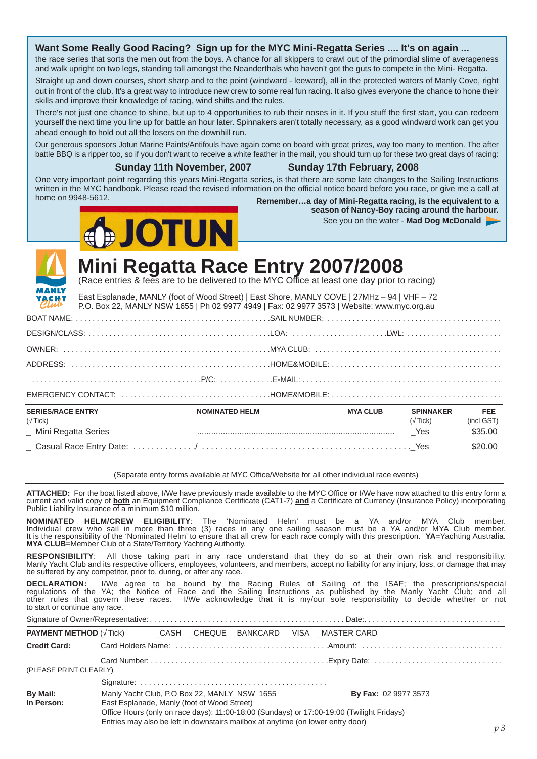#### **Want Some Really Good Racing? Sign up for the MYC Mini-Regatta Series .... It's on again ...**

the race series that sorts the men out from the boys. A chance for all skippers to crawl out of the primordial slime of averageness and walk upright on two legs, standing tall amongst the Neanderthals who haven't got the guts to compete in the Mini- Regatta.

Straight up and down courses, short sharp and to the point (windward - leeward), all in the protected waters of Manly Cove, right out in front of the club. It's a great way to introduce new crew to some real fun racing. It also gives everyone the chance to hone their skills and improve their knowledge of racing, wind shifts and the rules.

There's not just one chance to shine, but up to 4 opportunities to rub their noses in it. If you stuff the first start, you can redeem yourself the next time you line up for battle an hour later. Spinnakers aren't totally necessary, as a good windward work can get you ahead enough to hold out all the losers on the downhill run.

Our generous sponsors Jotun Marine Paints/Antifouls have again come on board with great prizes, way too many to mention. The after battle BBQ is a ripper too, so if you don't want to receive a white feather in the mail, you should turn up for these two great days of racing:

#### **Sunday 11th November, 2007 Sunday 17th February, 2008**

**OTUN** 

One very important point regarding this years Mini-Regatta series, is that there are some late changes to the Sailing Instructions written in the MYC handbook. Please read the revised information on the official notice board before you race, or give me a call at home on 9948-5612.

Remember...a day of Mini-Regatta racing, is the equivalent to a **season of Nancy-Boy racing around the harbour.**

See you on the water - **Mad Dog McDonald**



## **Mini Regatta Race Entry 2007/2008**

(Race entries & fees are to be delivered to the MYC Office at least one day prior to racing)

| YACHIT                                                      | East Esplanade, MANLY (foot of Wood Street)   East Shore, MANLY COVE   27MHz - 94   VHF - 72<br>P.O. Box 22, MANLY NSW 1655   Ph 02 9977 4949   Fax: 02 9977 3573   Website: www.myc.org.au       |                       |                 |                                   |                                     |
|-------------------------------------------------------------|---------------------------------------------------------------------------------------------------------------------------------------------------------------------------------------------------|-----------------------|-----------------|-----------------------------------|-------------------------------------|
|                                                             |                                                                                                                                                                                                   |                       |                 |                                   |                                     |
|                                                             |                                                                                                                                                                                                   |                       |                 |                                   |                                     |
|                                                             |                                                                                                                                                                                                   |                       |                 |                                   |                                     |
|                                                             |                                                                                                                                                                                                   |                       |                 |                                   |                                     |
|                                                             |                                                                                                                                                                                                   |                       |                 |                                   |                                     |
|                                                             | $EMERGENCY$ $CONTACT:$ $\ldots$ $\ldots$ $\ldots$ $\ldots$ $\ldots$ $\ldots$ $\ldots$ $\ldots$ $\ldots$ $\ldots$ $\ldots$ $\ldots$ $\ldots$ $\ldots$ $\ldots$ $\ldots$ $\ldots$ $\ldots$ $\ldots$ |                       |                 |                                   |                                     |
| <b>SERIES/RACE ENTRY</b><br>(Tick)<br>_ Mini Regatta Series |                                                                                                                                                                                                   | <b>NOMINATED HELM</b> | <b>MYA CLUB</b> | <b>SPINNAKER</b><br>(Tick)<br>Yes | <b>FEE</b><br>(incl GST)<br>\$35.00 |
|                                                             |                                                                                                                                                                                                   |                       |                 |                                   | \$20.00                             |

(Separate entry forms available at MYC Office/Website for all other individual race events)

**ATTACHED:** For the boat listed above, I/We have previously made available to the MYC Office **or** I/We have now attached to this entry form a current and valid copy of **both** an Equipment Compliance Certificate (CAT1-7) **and** a Certificate of Currency (Insurance Policy) incorporating Public Liability Insurance of a minimum \$10 million.

**NOMINATED HELM/CREW ELIGIBILITY**: The 'Nominated Helm' must be a YA and/or MYA Club member. Individual crew who sail in more than three (3) races in any one sailing season must be a YA and/or MYA Club member. It is the responsibility of the 'Nominated Helm' to ensure that all crew for each race comply with this prescription. **YA**=Yachting Australia. **MYA CLUB**=Member Club of a State/Territory Yachting Authority.

**RESPONSIBILITY**: All those taking part in any race understand that they do so at their own risk and responsibility. Manly Yacht Club and its respective officers, employees, volunteers, and members, accept no liability for any injury, loss, or damage that may be suffered by any competitor, prior to, during, or after any race.

**DECLARATION:** I/We agree to be bound by the Racing Rules of Sailing of the ISAF; the prescriptions/special regulations of the YA; the Notice of Race and the Sailing Instructions as published by the Manly Yacht Club; and all other rules that govern these races. I/We acknowledge that it is my/our sole responsibility to decide whether or not to start or continue any race.

|                               |                                                                                             |  | <b>PAYMENT METHOD (Tick) CASH CHEQUE BANKCARD VISA MASTER CARD</b>                                                                                                                                          |                |
|-------------------------------|---------------------------------------------------------------------------------------------|--|-------------------------------------------------------------------------------------------------------------------------------------------------------------------------------------------------------------|----------------|
| <b>Credit Card:</b>           |                                                                                             |  |                                                                                                                                                                                                             |                |
| (PLEASE PRINT CLEARLY)        |                                                                                             |  |                                                                                                                                                                                                             |                |
|                               |                                                                                             |  |                                                                                                                                                                                                             |                |
| <b>By Mail:</b><br>In Person: | Manly Yacht Club, P.O Box 22, MANLY NSW 1655<br>East Esplanade, Manly (foot of Wood Street) |  | <b>By Fax: 02 9977 3573</b><br>Office Hours (only on race days): 11:00-18:00 (Sundays) or 17:00-19:00 (Twilight Fridays)<br>Entries may also be left in downstairs mailbox at anytime (on lower entry door) |                |
|                               |                                                                                             |  |                                                                                                                                                                                                             | p <sub>3</sub> |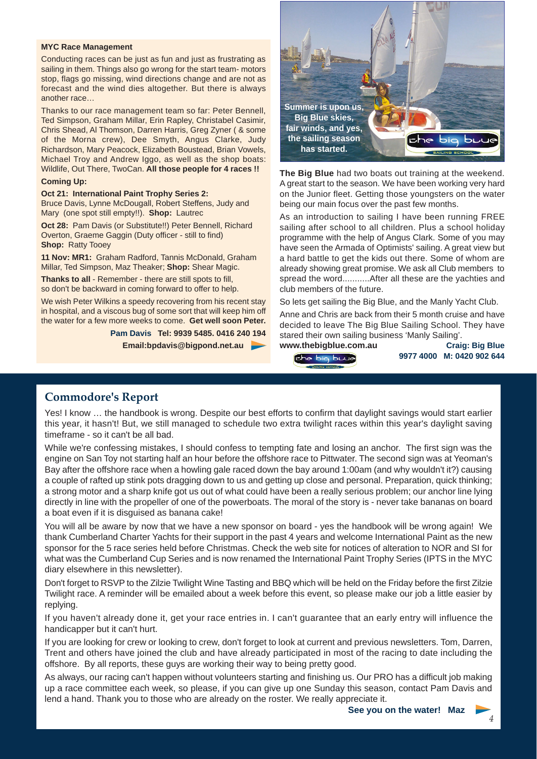#### **MYC Race Management**

Conducting races can be just as fun and just as frustrating as sailing in them. Things also go wrong for the start team- motors stop, flags go missing, wind directions change and are not as forecast and the wind dies altogether. But there is always another race…

Thanks to our race management team so far: Peter Bennell, Ted Simpson, Graham Millar, Erin Rapley, Christabel Casimir, Chris Shead, Al Thomson, Darren Harris, Greg Zyner ( & some of the Morna crew), Dee Smyth, Angus Clarke, Judy Richardson, Mary Peacock, Elizabeth Boustead, Brian Vowels, Michael Troy and Andrew Iggo, as well as the shop boats: Wildlife, Out There, TwoCan. **All those people for 4 races !!**

#### **Coming Up:**

#### **Oct 21: International Paint Trophy Series 2:**

Bruce Davis, Lynne McDougall, Robert Steffens, Judy and Mary (one spot still empty!!). **Shop:** Lautrec

**Oct 28:** Pam Davis (or Substitute!!) Peter Bennell, Richard Overton, Graeme Gaggin (Duty officer - still to find) **Shop:** Ratty Tooey

**11 Nov: MR1:** Graham Radford, Tannis McDonald, Graham Millar, Ted Simpson, Maz Theaker; **Shop:** Shear Magic.

**Thanks to all** - Remember - there are still spots to fill, so don't be backward in coming forward to offer to help.

We wish Peter Wilkins a speedy recovering from his recent stay in hospital, and a viscous bug of some sort that will keep him off the water for a few more weeks to come. **Get well soon Peter.**

> **Pam Davis Tel: 9939 5485. 0416 240 194 Email:bpdavis@bigpond.net.au**



**The Big Blue** had two boats out training at the weekend. A great start to the season. We have been working very hard on the Junior fleet. Getting those youngsters on the water being our main focus over the past few months.

As an introduction to sailing I have been running FREE sailing after school to all children. Plus a school holiday programme with the help of Angus Clark. Some of you may have seen the Armada of Optimists' sailing. A great view but a hard battle to get the kids out there. Some of whom are already showing great promise. We ask all Club members to spread the word...........After all these are the yachties and club members of the future.

So lets get sailing the Big Blue, and the Manly Yacht Club.

Anne and Chris are back from their 5 month cruise and have decided to leave The Big Blue Sailing School. They have stared their own sailing business 'Manly Sailing'.

Ehe big buue

**www.thebigblue.com.au Craig: Big Blue 9977 4000 M: 0420 902 644**

#### **Commodore's Report**

Yes! I know … the handbook is wrong. Despite our best efforts to confirm that daylight savings would start earlier this year, it hasn't! But, we still managed to schedule two extra twilight races within this year's daylight saving timeframe - so it can't be all bad.

While we're confessing mistakes, I should confess to tempting fate and losing an anchor. The first sign was the engine on San Toy not starting half an hour before the offshore race to Pittwater. The second sign was at Yeoman's Bay after the offshore race when a howling gale raced down the bay around 1:00am (and why wouldn't it?) causing a couple of rafted up stink pots dragging down to us and getting up close and personal. Preparation, quick thinking; a strong motor and a sharp knife got us out of what could have been a really serious problem; our anchor line lying directly in line with the propeller of one of the powerboats. The moral of the story is - never take bananas on board a boat even if it is disguised as banana cake!

You will all be aware by now that we have a new sponsor on board - yes the handbook will be wrong again! We thank Cumberland Charter Yachts for their support in the past 4 years and welcome International Paint as the new sponsor for the 5 race series held before Christmas. Check the web site for notices of alteration to NOR and SI for what was the Cumberland Cup Series and is now renamed the International Paint Trophy Series (IPTS in the MYC diary elsewhere in this newsletter).

Don't forget to RSVP to the Zilzie Twilight Wine Tasting and BBQ which will be held on the Friday before the first Zilzie Twilight race. A reminder will be emailed about a week before this event, so please make our job a little easier by replying.

If you haven't already done it, get your race entries in. I can't guarantee that an early entry will influence the handicapper but it can't hurt.

If you are looking for crew or looking to crew, don't forget to look at current and previous newsletters. Tom, Darren, Trent and others have joined the club and have already participated in most of the racing to date including the offshore. By all reports, these guys are working their way to being pretty good.

As always, our racing can't happen without volunteers starting and finishing us. Our PRO has a difficult job making up a race committee each week, so please, if you can give up one Sunday this season, contact Pam Davis and lend a hand. Thank you to those who are already on the roster. We really appreciate it.

*p 4*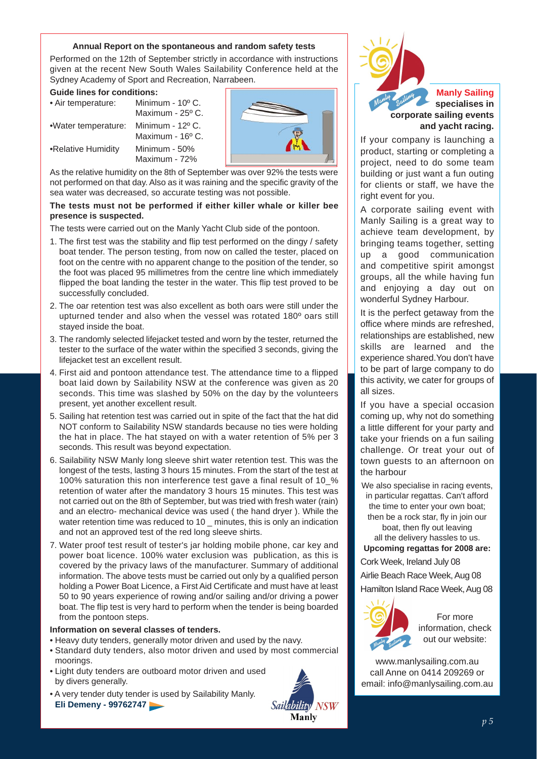#### **Annual Report on the spontaneous and random safety tests**

Performed on the 12th of September strictly in accordance with instructions given at the recent New South Wales Sailability Conference held at the Sydney Academy of Sport and Recreation, Narrabeen.

#### **Guide lines for conditions:**

| • Air temperature:  | Minimum - 10° C.<br>Maximum - $25^{\circ}$ C. |
|---------------------|-----------------------------------------------|
| •Water temperature: | Minimum - 12º C.<br>Maximum - 16º C.          |
| •Relative Humidity  | Minimum - 50%<br>Maximum - 72%                |



As the relative humidity on the 8th of September was over 92% the tests were not performed on that day. Also as it was raining and the specific gravity of the sea water was decreased, so accurate testing was not possible.

#### **The tests must not be performed if either killer whale or killer bee presence is suspected.**

The tests were carried out on the Manly Yacht Club side of the pontoon.

- 1. The first test was the stability and flip test performed on the dingy / safety boat tender. The person testing, from now on called the tester, placed on foot on the centre with no apparent change to the position of the tender, so the foot was placed 95 millimetres from the centre line which immediately flipped the boat landing the tester in the water. This flip test proved to be successfully concluded.
- 2. The oar retention test was also excellent as both oars were still under the upturned tender and also when the vessel was rotated 180º oars still stayed inside the boat.
- 3. The randomly selected lifejacket tested and worn by the tester, returned the tester to the surface of the water within the specified 3 seconds, giving the lifejacket test an excellent result.
- 4. First aid and pontoon attendance test. The attendance time to a flipped boat laid down by Sailability NSW at the conference was given as 20 seconds. This time was slashed by 50% on the day by the volunteers present, yet another excellent result.
- 5. Sailing hat retention test was carried out in spite of the fact that the hat did NOT conform to Sailability NSW standards because no ties were holding the hat in place. The hat stayed on with a water retention of 5% per 3 seconds. This result was beyond expectation.
- 6. Sailability NSW Manly long sleeve shirt water retention test. This was the longest of the tests, lasting 3 hours 15 minutes. From the start of the test at 100% saturation this non interference test gave a final result of 10\_% retention of water after the mandatory 3 hours 15 minutes. This test was not carried out on the 8th of September, but was tried with fresh water (rain) and an electro- mechanical device was used ( the hand dryer ). While the water retention time was reduced to 10 \_ minutes, this is only an indication and not an approved test of the red long sleeve shirts.
- 7. Water proof test result of tester's jar holding mobile phone, car key and power boat licence. 100% water exclusion was publication, as this is covered by the privacy laws of the manufacturer. Summary of additional information. The above tests must be carried out only by a qualified person holding a Power Boat Licence, a First Aid Certificate and must have at least 50 to 90 years experience of rowing and/or sailing and/or driving a power boat. The flip test is very hard to perform when the tender is being boarded from the pontoon steps.

#### **Information on several classes of tenders.**

- Heavy duty tenders, generally motor driven and used by the navy.
- Standard duty tenders, also motor driven and used by most commercial moorings.
- Light duty tenders are outboard motor driven and used by divers generally.
- A very tender duty tender is used by Sailability Manly. **Eli Demeny - 99762747**



**Manly Sailing specialises in corporate sailing events and yacht racing.**

If your company is launching a product, starting or completing a project, need to do some team building or just want a fun outing for clients or staff, we have the right event for you.

A corporate sailing event with Manly Sailing is a great way to achieve team development, by bringing teams together, setting up a good communication and competitive spirit amongst groups, all the while having fun and enjoying a day out on wonderful Sydney Harbour.

It is the perfect getaway from the office where minds are refreshed, relationships are established, new skills are learned and the experience shared.You don't have to be part of large company to do this activity, we cater for groups of all sizes.

If you have a special occasion coming up, why not do something a little different for your party and take your friends on a fun sailing challenge. Or treat your out of town guests to an afternoon on the harbour

We also specialise in racing events, in particular regattas. Can't afford the time to enter your own boat; then be a rock star, fly in join our boat, then fly out leaving all the delivery hassles to us.

**Upcoming regattas for 2008 are:**

Cork Week, Ireland July 08

Airlie Beach Race Week, Aug 08 Hamilton Island Race Week, Aug 08



For more information, check out our website:

www.manlysailing.com.au call Anne on 0414 209269 or email: info@manlysailing.com.au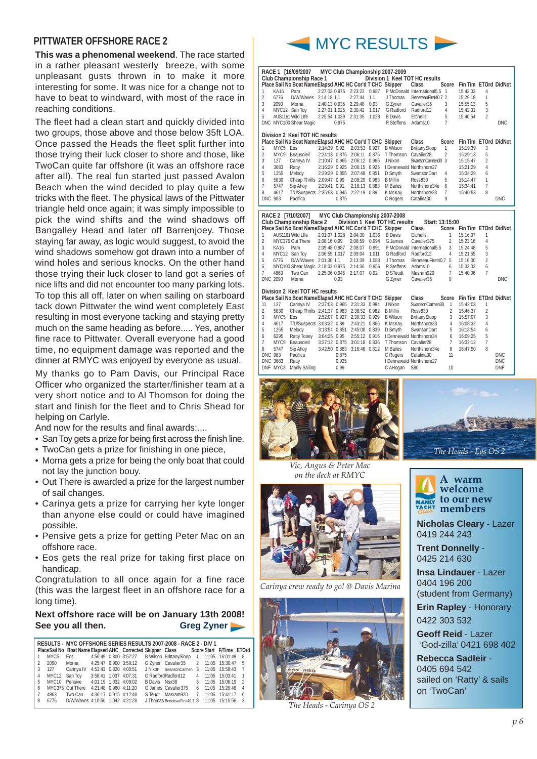#### **PITTWATER OFFSHORE RACE 2**

**This was a phenomenal weekend**. The race started in a rather pleasant westerly breeze, with some unpleasant gusts thrown in to make it more interesting for some. It was nice for a change not to have to beat to windward, with most of the race in reaching conditions.

The fleet had a clean start and quickly divided into two groups, those above and those below 35ft LOA. Once passed the Heads the fleet split further into those trying their luck closer to shore and those, like TwoCan quite far offshore (it was an offshore race after all). The real fun started just passed Avalon Beach when the wind decided to play quite a few tricks with the fleet. The physical laws of the Pittwater triangle held once again; it was simply impossible to pick the wind shifts and the wind shadows off Bangalley Head and later off Barrenjoey. Those staying far away, as logic would suggest, to avoid the wind shadows somehow got drawn into a number of wind holes and serious knocks. On the other hand those trying their luck closer to land got a series of nice lifts and did not encounter too many parking lots. To top this all off, later on when sailing on starboard tack down Pittwater the wind went completely East resulting in most everyone tacking and staying pretty much on the same heading as before..... Yes, another fine race to Pittwater. Overall everyone had a good time, no equipment damage was reported and the dinner at RMYC was enjoyed by everyone as usual.

My thanks go to Pam Davis, our Principal Race Officer who organized the starter/finisher team at a very short notice and to Al Thomson for doing the start and finish for the fleet and to Chris Shead for helping on Carlyle.

And now for the results and final awards:....

- San Toy gets a prize for being first across the finish line.
- TwoCan gets a prize for finishing in one piece,
- Morna gets a prize for being the only boat that could not lay the junction bouy.
- Out There is awarded a prize for the largest number of sail changes.
- Carinya gets a prize for carrying her kyte longer than anyone else could or could have imagined possible.
- Pensive gets a prize for getting Peter Mac on an offshore race.
- Eos gets the real prize for taking first place on handicap.

Congratulation to all once again for a fine race (this was the largest fleet in an offshore race for a long time).

#### **Next offshore race will be on January 13th 2008! See you all then. Greg Zyner**

|                |                  |                                        |                       |  | RESULTS - MYC OFFSHORE SERIES RESULTS 2007-2008 - RACE 2 - DIV 1                    |              |                    |                |
|----------------|------------------|----------------------------------------|-----------------------|--|-------------------------------------------------------------------------------------|--------------|--------------------|----------------|
|                |                  |                                        |                       |  | PlaceSail No Boat Name Elapsed AHC Corrected Skipper Class Score Start F/Time ETOrd |              |                    |                |
|                | MYC <sub>5</sub> |                                        |                       |  | Eos 4:56:49 0.800 3:57:27 B Wilson BrittanySloop 1 11:05 16:01:49 8                 |              |                    |                |
| $\mathcal{P}$  | 2090             | Morna 4:25:47 0.900 3:59:12            |                       |  | G Zyner Cavalier 35 2 11:05 15:30:47 5                                              |              |                    |                |
|                |                  |                                        |                       |  | 3 127 Carinva IV 4:53:43 0.820 4:00:51 J Nixon SwansonCarmen 3                      |              | 11:05 15:58:43 7   |                |
| $\overline{4}$ |                  |                                        |                       |  | MYC12 San Toy 3:58:41 1.037 4:07:31 G Radford Radford 12                            |              | 4 11:05 15:03:41   | $\overline{1}$ |
| 5              |                  | MYC10 Pensive 4:01:19 1.032 4:09:02    |                       |  | B Davis Nsx38                                                                       |              | 5 11:05 15:06:19 2 |                |
| ĥ              |                  | MYC375 Out There 4:21:48 0.960 4:11:20 |                       |  | G James Cavalier375                                                                 | $\mathsf{f}$ | 11:05 15:26:48     | $\overline{4}$ |
|                | 4863             | Two Can                                | 4:36:17 0.915 4:12:48 |  | S Teudt Masram920 7                                                                 |              | 11:05 15:41:17     | - 6            |
| 8              |                  | 6776 D/W/Waves 4:10:56 1.042 4:21:28   |                       |  | J Thomas BeneteauFirst40.7 8 11:05 15:15:56 3                                       |              |                    |                |



|                |                      | RACE 1 [16/09/2007                                                                    |               |               |                             |       | MYC Club Championship 2007-2009 |                                         |                     |                            |                |                   |
|----------------|----------------------|---------------------------------------------------------------------------------------|---------------|---------------|-----------------------------|-------|---------------------------------|-----------------------------------------|---------------------|----------------------------|----------------|-------------------|
|                |                      | Club Championship Race 1<br>Place Sail No Boat Name Elapsd AHC HC Cor'd T CHC Skipper |               |               |                             |       |                                 | Division 1 Keel TOT HC results<br>Class | Score               | Fin Tim ETOrd DidNot       |                |                   |
| 1              | KA16                 | Pam                                                                                   |               |               | 2:27:03 0.975 2:23:22 0.987 |       |                                 | P McDonald International 5.5 1          |                     | 15:42:03                   | 4              |                   |
| $\overline{2}$ | 6776                 | D/W/Waves 2:14:18 1.1                                                                 |               |               | 2:27:44                     | 1.1   | J Thomas                        | BeneteauFirst40.7 2                     |                     | 15:29:18                   | 1              |                   |
| 3              | 2090                 | Morna                                                                                 | 2:40:13 0.935 |               | 2:29:48                     | 0.93  | G Zyner                         | Cavalier35                              | 3                   | 15:55:13                   | 5              |                   |
| 4              |                      | MYC12 San Toy                                                                         | 2:27:01 1.025 |               | 2:30:42                     | 1.017 | G Radford                       | Radford12                               | 4                   | 15:42:01                   | 3              |                   |
| 5              |                      | AUS1161 Wild Llfe                                                                     | 2:25:54 1.039 |               | 2:31:35                     | 1.028 | <b>B</b> Davis                  | Etchells                                | 5                   | 15:40:54                   | 2              |                   |
|                |                      | DNC MYC100 Shear Magic                                                                |               | 0.975         |                             |       | R Steffens                      | Adams10                                 | $\overline{7}$      |                            |                | <b>DNC</b>        |
|                |                      |                                                                                       |               |               |                             |       |                                 |                                         |                     |                            |                |                   |
|                |                      | Division 2 Keel TOT HC results                                                        |               |               |                             |       |                                 |                                         |                     |                            |                |                   |
|                |                      | Place Sail No Boat Name Elapsd AHC HC Cor'd T CHC Skipper                             |               |               |                             |       |                                 | Class                                   |                     | Score Fin Tim ETOrd DidNot |                |                   |
| 1              | MYC5 Eos             |                                                                                       | 2:14:39 0.92  |               | 2:03:53 0.927               |       | <b>B</b> Wilson                 | BrittanySloop                           | 1                   | 15:19:39                   | 3              |                   |
| $\overline{2}$ |                      | MYC9 Beausoleil                                                                       |               |               | 2:24:13 0.875 2:06:11 0.875 |       | T Thomson                       | Cavalier <sub>28</sub>                  | $\overline{2}$      | 15:29:13                   | 5              |                   |
| 3              | 127                  | Carinya IV                                                                            |               |               | 2:10:47 0.965 2:06:12 0.965 |       | J Nixon                         | SwansonCarmen30 3                       |                     | 15:15:47                   | $\overline{2}$ |                   |
| 4              | 3683                 | Ratty                                                                                 |               |               | 2:16:29 0.925 2:06:15 0.925 |       |                                 | I Dennewald Northshore27                |                     | 15:21:29                   | 4              |                   |
| 5              | 1255                 | Melody                                                                                |               |               | 2:29:29 0.855 2:07:48 0.851 |       | D Smyth                         | SwansonDart                             | 4                   | 15:34:29                   | 6              |                   |
| 6              | 5830                 | Cheap Thrills 2:09:47 0.99                                                            |               |               | 2:08:29 0.983               |       | <b>B</b> Miflin                 | <b>Ross830</b>                          | 5                   | 15:14:47                   | 1              |                   |
| $\overline{7}$ | 5747                 | Sip Ahoy                                                                              | 2:29:41 0.91  |               | 2:16:13 0.883               |       | M Bailes                        | Northshore34e                           | 6                   | 15:34:41                   | $\overline{7}$ |                   |
| 8              | 4617                 | T/U/Suspects 2:35:53 0.945 2:27:19 0.89                                               |               |               |                             |       | K McKay                         | Northshore33                            | 7                   | 15:40:53                   | 8              |                   |
|                | <b>DNC 983</b>       | Pacifica                                                                              |               | 0.875         |                             |       | C Rogers                        | Catalina30                              | 9                   |                            |                | <b>DNC</b>        |
|                |                      |                                                                                       |               |               |                             |       |                                 |                                         |                     |                            |                |                   |
|                |                      | RACE 2 [7/10/2007]                                                                    |               |               |                             |       | MYC Club Championship 2007-2008 |                                         |                     |                            |                |                   |
|                |                      | Club Championship Race 2                                                              |               |               |                             |       | Division 1 Keel TOT HC results  | Start: 13:15:00                         |                     |                            |                |                   |
|                |                      |                                                                                       |               |               |                             |       |                                 |                                         |                     |                            |                |                   |
|                |                      | Place Sail No Boat Name Elapsd AHC HC Cor'd T CHC Skipper                             |               |               |                             |       |                                 | Class                                   |                     | Score Fin Tim ETOrd DidNot |                |                   |
| 1              |                      | AUS1161 Wild Llfe                                                                     | 2:01:07 1.028 |               | 2:04:30                     | 1.036 | <b>B</b> Davis                  | Etchells                                | 1                   | 15:16:07                   | 1              |                   |
| $\overline{2}$ |                      | MYC375 Out There                                                                      | 2:08:16 0.99  |               | 2:06:59                     | 0.994 | G James                         | Cavalier375                             | $\overline{2}$      | 15:23:16                   | 4              |                   |
| 3              | KA16                 | Pam                                                                                   | 2:09:48 0.987 |               | 2:08:07                     | 0.991 |                                 | P McDonald International5.5             | 3                   | 15:24:48                   | 5              |                   |
| 4              |                      | MYC12 San Tov                                                                         | 2:06:55 1.017 |               | 2:09:04                     | 1.011 | G Radford                       | Radford12                               | 4                   | 15:21:55                   | 3              |                   |
| 5              | 6776                 | D/W/Waves 2:01:30 1.1                                                                 |               |               | 2:13:39                     | 1.083 | J Thomas                        | BeneteauFirst40.7 5                     |                     | 15:16:30                   | $\overline{2}$ |                   |
| 6              |                      | MYC100 Shear Magic 2:18:03 0.975                                                      |               |               | 2:14:36                     | 0.956 | R Steffens                      | Adams10                                 | 6                   | 15:33:03                   | 6              |                   |
| $\overline{7}$ | 4863<br>DNC 2090     | Two Can<br>Morna                                                                      | 2:25:06 0.945 |               | 2:17:07                     | 0.92  | D STeudt                        | Masram920                               | $\overline{7}$<br>9 | 15:40:06                   | $\overline{7}$ |                   |
|                |                      |                                                                                       |               | 0.93          |                             |       | G Zyner                         | Cavalier35                              |                     |                            |                | <b>DNC</b>        |
|                |                      | Division 2 Keel TOT HC results                                                        |               |               |                             |       |                                 |                                         |                     |                            |                |                   |
|                |                      | Place Sail No Boat Name Elapsd AHC HC Cor'd T CHC Skipper                             |               |               |                             |       |                                 | Class                                   | Score               | Fin Tim ETOrd DidNot       |                |                   |
| 11             | 127                  | Carinya IV                                                                            |               |               | 2:37:03 0.965 2:31:33 0.984 |       | J Nixon                         | SwansonCarmen30                         | $\mathbf{1}$        | 15:42:03                   | 1              |                   |
| $\overline{2}$ | 5830                 | Cheap Thrills 2:41:37 0.983 2:38:52 0.982                                             |               |               |                             |       | <b>B</b> Miflin                 | Ross830                                 | $\overline{2}$      | 15:46:37                   | $\overline{2}$ |                   |
| 3              | MYC5 Eos             |                                                                                       |               |               | 2:52:07 0.927 2:39:33 0.929 |       | <b>B</b> Wilson                 | BrittanySloop                           | 3                   | 15:57:07                   | 3              |                   |
| 4              | 4617                 | T/U/Suspects 3:03:32 0.89                                                             |               |               | 2:43:21 0.866               |       | K McKay                         | Northshore33                            | 4                   | 16:08:32                   | 4              |                   |
| 5              | 1255                 | Melody                                                                                |               |               | 3:13:54 0.851 2:45:00 0.839 |       | D Smyth                         | SwansonDart                             | 5                   | 16:18:54                   | 6              |                   |
| 6              | 6295                 | Ratty Tooey                                                                           | 3:04:25 0.95  |               | 2:55:12 0.916               |       |                                 | I Dennewald Northshore34                | 6                   | 16:09:25                   | 5              |                   |
| $\overline{7}$ | MYC9                 | Beausoleil                                                                            |               |               | 3:27:12 0.875 3:01:18 0.836 |       | T Thomson Cavalier28            |                                         | 7                   | 16:32:12                   | 7              |                   |
| 8              | 5747                 | Sip Ahoy                                                                              |               |               | 3:42:50 0.883 3:16:46 0.812 |       | M Bailes                        | Northshore34e                           | 8                   | 16:47:50                   | 8              |                   |
| <b>DNC 983</b> |                      | Pacifica                                                                              |               | 0.875         |                             |       | C Rogers                        | Catalina30                              | 11                  |                            |                | <b>DNC</b>        |
|                | DNC 3683<br>DNF MYC3 | Ratty<br>Manly Sailing                                                                |               | 0.925<br>0.99 |                             |       | C AHogan                        | I Dennewald Northshore27<br>S80         | 10                  |                            |                | DNC<br><b>DNF</b> |



*Vic, Angus & Peter Mac on the deck at RMYC*



*Carinya crew ready to go! @ Davis Marina* 



*The Heads - Carinya OS 2*





**Nicholas Cleary** - Lazer 0419 244 243

**Trent Donnelly** - 0425 214 630

**Insa Lindauer** - Lazer 0404 196 200 (student from Germany) **Erin Rapley** - Honorary

0422 303 532

**Geoff Reid** - Lazer 'God-zilla' 0421 698 402

**Rebecca Sadleir** - 0405 694 542 sailed on 'Ratty' & sails on 'TwoCan'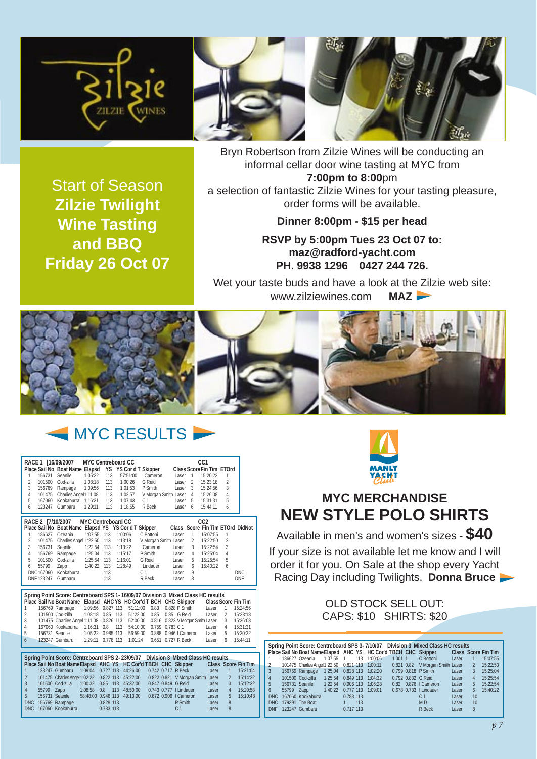



Bryn Robertson from Zilzie Wines will be conducting an informal cellar door wine tasting at MYC from **7:00pm to 8:00**pm

Start of Season **Zilzie Twilight Wine Tasting and BBQ Friday 26 Oct 07**

**Dinner 8:00pm - \$15 per head**

a selection of fantastic Zilzie Wines for your tasting pleasure, order forms will be available.

> **RSVP by 5:00pm Tues 23 Oct 07 to: maz@radford-yacht.com PH. 9938 1296 0427 244 726.**

Wet your taste buds and have a look at the Zilzie web site: www.zilziewines.com **MAZ** 



## **MYC RESULTS**

|                |                   | RACE 1 [16/09/2007                                                               |                           |           | <b>MYC Centreboard CC</b> |                   |                            |                | CC1                              |                |                            |
|----------------|-------------------|----------------------------------------------------------------------------------|---------------------------|-----------|---------------------------|-------------------|----------------------------|----------------|----------------------------------|----------------|----------------------------|
|                |                   | Place Sail No Boat Name Elapsd YS YS Cord T Skipper                              |                           |           |                           |                   |                            |                | Class Score Fin Tim ETOrd        |                |                            |
| 1              | 156731            | Seanile                                                                          | 1:05:22                   | 113       | 57:51:00                  | I Cameron         | Laser                      | $\overline{1}$ | 15:20:22                         | 1              |                            |
| $\overline{2}$ | 101500            | Cod-zilla                                                                        | 1:08:18                   | 113       | 1:00:26                   | G Reid            | Laser                      | $\overline{2}$ | 15:23:18                         | $\overline{2}$ |                            |
| 3              | 156769            | Rampage                                                                          | 1:09:56                   | 113       | 1:01:53                   | P Smith           | Laser                      | 3              | 15:24:56                         | 3              |                            |
| 4              | 101475            | Charlies Angel1:11:08                                                            |                           | 113       | 1:02:57                   |                   | V Morgan Smith Laser       | 4              | 15:26:08                         | 4              |                            |
| 5              | 167060            | Kookaburra 1:16:31                                                               |                           | 113       | 1:07:43                   | C <sub>1</sub>    | Laser                      | 5              | 15:31:31                         | 5              |                            |
| 6              | 123247            | Gumbaru                                                                          | 1:29:11                   | 113       | 1:18:55                   | R Beck            | Laser                      | 6              | 15:44:11                         | 6              |                            |
|                |                   |                                                                                  |                           |           |                           |                   |                            |                |                                  |                |                            |
|                | RACE 2 [7/10/2007 |                                                                                  | <b>MYC Centreboard CC</b> |           |                           |                   |                            |                | CC <sub>2</sub>                  |                |                            |
|                |                   | Place Sail No Boat Name Elapsd YS YS Cor d T Skipper                             |                           |           |                           |                   |                            |                | Class Score Fin Tim ETOrd DidNot |                |                            |
| 1              | 186627            | Ozeania                                                                          | 1:07:55                   | 113       | 1:00:06                   | C Bottoni         | Laser                      | $\mathbf{1}$   | 15:07:55                         | 1              |                            |
| 2              | 101475            | Charlies Angel 1:22:50                                                           |                           | 113       | 1:13:18                   |                   | V Morgan Smith Laser       | $\overline{2}$ | 15:22:50                         | 2              |                            |
| 3              | 156731            | Seanile                                                                          | 1:22:54                   | 113       | 1:13:22                   | I Cameron         | Laser                      | 3              | 15:22:54                         | 3              |                            |
| 4              | 156769            | Rampage                                                                          | 1:25:04                   | 113       | 1:15:17                   | P Smith           | Laser                      | 4              | 15:25:04                         | 4              |                            |
| 5              | 101500            | Cod-zilla                                                                        | 1:25:54                   | 113       | 1:16:01                   | G Reid            | Laser                      | 5              | 15:25:54                         | 5              |                            |
| 6              | 55799             | Zapp                                                                             | 1:40:22                   | 113       | 1:28:49                   | I Lindauer        | Laser                      | 6              | 15:40:22                         | 6              |                            |
|                | DNC 167060        | Kookaburra                                                                       |                           | 113       |                           | C <sub>1</sub>    | Laser                      | 9              |                                  |                | <b>DNC</b>                 |
|                | DNF 123247        | Gumbaru                                                                          |                           | 113       |                           | R Beck            | Laser                      | 8              |                                  |                | <b>DNF</b>                 |
|                |                   |                                                                                  |                           |           |                           |                   |                            |                |                                  |                |                            |
|                |                   | Spring Point Score: Centreboard SPS 1-16/09/07 Division 3 Mixed Class HC results |                           |           |                           |                   |                            |                |                                  |                |                            |
|                |                   | Place Sail No Boat Name Elapsd AHC YS HC Cor'd T BCH CHC Skipper                 |                           |           |                           |                   |                            |                |                                  |                | <b>Class Score Fin Tim</b> |
| 1              |                   | 156769 Rampage                                                                   | 1:09:56 0.827 113         |           |                           | 51:11:00<br>0.83  | 0.828 P Smith              |                | Laser                            | 1              | 15:24:56                   |
| 2              |                   | 101500 Cod-zilla                                                                 | 1:08:18 0.85 113          |           |                           | 51:22:00<br>0.85  | 0.85 G Reid                |                | Laser                            | 2              | 15:23:18                   |
| 3              |                   | 101475 Charlies Angel 1:11:08                                                    |                           | 0.826 113 |                           | 52:00:00<br>0.816 | 0.822 V Morgan Smith Laser |                |                                  | 3              | 15:26:08                   |
| 4              |                   | 167060 Kookaburra                                                                | 1:16:31                   | 0.8       | 113                       | 54:10:00          | 0.759 0.783 C 1            |                | Laser                            | 4              | 15:31:31                   |
| 5              |                   | 156731 Seanile                                                                   | 1:05:22                   | 0.985 113 |                           | 56:59:00<br>0.888 | 0.946   Cameron            |                | Laser                            | 5              | 15:20:22                   |
| 6              |                   | 123247 Gumbaru                                                                   | 1:29:11                   | 0.778 113 |                           | 1:01:24           | 0.651 0.727 R Beck         |                | Laser                            | 6              | 15:44:11                   |

|                 |                                            |             |           |  |  | Spring Point Score: Centreboard SPS 2-23/09/07  Division 3 Mixed Class HC results          |       |                |          |
|-----------------|--------------------------------------------|-------------|-----------|--|--|--------------------------------------------------------------------------------------------|-------|----------------|----------|
|                 |                                            |             |           |  |  | Place Sail No Boat NameElapsd AHC YS HC Cor'd TBCH CHC Skipper Class Score Fin Tim         |       |                |          |
| $\overline{1}$  |                                            |             |           |  |  | 123247 Gumbaru 1:09:04 0.727 113 44:26:00 0.742 0.717 R Beck                               | Laser | $\overline{1}$ | 15:21:04 |
| $\overline{2}$  |                                            |             |           |  |  | 101475 Charlies Angel 1:02:22  0.822  113  45:22:00  0.822  0.821  V Morgan Smith Laser  2 |       |                | 15:14:22 |
| $\overline{3}$  | 101500 Cod-zilla 1:00:32 0.85 113 45:32:00 |             |           |  |  | 0.847 0.849 G Reid                                                                         | Laser | $\mathbf{3}$   | 15:12:32 |
| $\overline{4}$  | 55799 Zapp 1:08:58 0.8 113 48:50:00        |             |           |  |  | 0.743 0.777   Lindauer                                                                     | Laser | 4              | 15:20:58 |
| $5\overline{5}$ | 156731 Seanile 58:48:00 0.946 113 49:13:00 |             |           |  |  | 0.872 0.906   Cameron                                                                      | Laser | 5 <sup>1</sup> | 15:10:48 |
|                 | DNC 156769 Rampage                         |             | 0.828 113 |  |  | P Smith                                                                                    | Laser | 8              |          |
|                 | DNC 167060 Kookaburra                      | $0.783$ 113 |           |  |  | C <sub>1</sub>                                                                             | Laser | 8              |          |
|                 |                                            |             |           |  |  |                                                                                            |       |                |          |



### **MYC MERCHANDISE NEW STYLE POLO SHIRTS**

Available in men's and women's sizes - **\$40** If your size is not available let me know and I will order it for you. On Sale at the shop every Yacht Racing Day including Twilights. **Donna Bruce**

> OLD STOCK SELL OUT: CAPS: \$10 SHIRTS: \$20

|                |                                                |           |     |                     |  | Spring Point Score: Centreboard SPS 3-7/10/07 Division 3 Mixed Class HC results<br>Place Sail No Boat Name Elapsd AHC YS HC Cor'd TBCH CHC Skipper Class Score Fin Tim |         |                |          |
|----------------|------------------------------------------------|-----------|-----|---------------------|--|------------------------------------------------------------------------------------------------------------------------------------------------------------------------|---------|----------------|----------|
|                | 186627 Ozeania 1:07:55 1                       |           |     | 113 1:00:06 1.001 1 |  | C Bottoni                                                                                                                                                              | Laser   | $\sqrt{1}$     | 15:07:55 |
| $\overline{2}$ |                                                |           |     |                     |  | 101475 Charlies Angel 1:22:50  0.821  113  1:00:11  0.821  0.82  V Morgan Smith Laser  2                                                                               |         |                | 15:22:50 |
| 3              |                                                |           |     |                     |  | 156769 Rampage 1:25:04 0.828 113 1:02:20 0.799 0.818 P Smith                                                                                                           | Laser 3 |                | 15:25:04 |
| 4              | 101500 Cod-zilla  1:25:54  0.849  113  1:04:32 |           |     |                     |  | 0.792 0.832 G Reid                                                                                                                                                     | Laser   | $\overline{4}$ | 15:25:54 |
| 5              | 156731 Seanile 1:22:54 0.906 113               |           |     | 1:06:28             |  | 0.82 0.876   Cameron                                                                                                                                                   | Laser   | 5 <sup>5</sup> | 15:22:54 |
| 6              | 55799 Zapp 1:40:22 0.777 113 1:09:01           |           |     |                     |  | 0.678 0.733   Lindauer                                                                                                                                                 | Laser   | 6 <sup>5</sup> | 15:40:22 |
|                | DNC 167060 Kookaburra                          | 0.783 113 |     |                     |  | C <sub>1</sub>                                                                                                                                                         | Laser   | 10             |          |
|                | DNC 179391 The Boat                            |           | 113 |                     |  | M <sub>D</sub>                                                                                                                                                         | Laser   | 10             |          |
| <b>DNF</b>     | 123247 Gumbaru                                 | 0.717 113 |     |                     |  | R Beck                                                                                                                                                                 | Laser   | 8              |          |